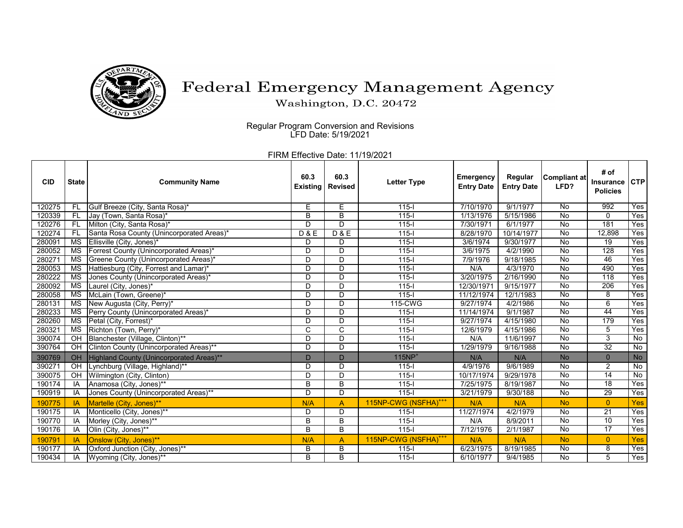

## Federal Emergency Management Agency

Washington, D.C. 20472

Regular Program Conversion and Revisions LFD Date: 5/19/2021

FIRM Effective Date: 11/19/2021

| <b>CID</b> | <b>State</b>           | <b>Community Name</b>                     | 60.3<br><b>Existing</b> | 60.3<br><b>Revised</b> | <b>Letter Type</b>               | <b>Emergency</b><br><b>Entry Date</b> | Regular<br><b>Entry Date</b> | <b>Compliant at</b><br>LFD? | # of<br>Insurance<br><b>Policies</b> | <b>CTP</b> |
|------------|------------------------|-------------------------------------------|-------------------------|------------------------|----------------------------------|---------------------------------------|------------------------------|-----------------------------|--------------------------------------|------------|
| 120275     | FL                     | Gulf Breeze (City, Santa Rosa)*           | Е                       | Е                      | $115 -$                          | 7/10/1970                             | 9/1/1977                     | No                          | 992                                  | Yes        |
| 120339     | <b>FL</b>              | Jay (Town, Santa Rosa)*                   | B                       | B                      | $115 -$                          | 1/13/1976                             | 5/15/1986                    | <b>No</b>                   | $\Omega$                             | Yes        |
| 120276     | -FL                    | Milton (City, Santa Rosa)*                | D                       | D                      | $115 -$                          | 7/30/1971                             | 6/1/1977                     | <b>No</b>                   | 181                                  | Yes        |
| 120274     | -FL                    | Santa Rosa County (Unincorporated Areas)* | <b>D&amp;E</b>          | <b>D&amp;E</b>         | $115-I$                          | 8/28/1970                             | 10/14/1977                   | No                          | 12,898                               | Yes        |
| 280091     | $\overline{\text{MS}}$ | Ellisville (City, Jones)*                 | D                       | D                      | $115 -$                          | 3/6/1974                              | 9/30/1977                    | $\overline{N}$              | $\overline{19}$                      | Yes        |
| 280052     | MS                     | Forrest County (Unincorporated Areas)*    | D                       | D                      | $115 -$                          | 3/6/1975                              | 4/2/1990                     | No                          | 128                                  | Yes        |
| 280271     | <b>MS</b>              | Greene County (Unincorporated Areas)*     | D                       | D                      | $115 -$                          | 7/9/1976                              | 9/18/1985                    | No                          | $\overline{46}$                      | Yes        |
| 280053     | $\overline{\text{MS}}$ | Hattiesburg (City, Forrest and Lamar)*    | D                       | D                      | $115 -$                          | N/A                                   | 4/3/1970                     | No                          | 490                                  | Yes        |
| 280222     | <b>MS</b>              | Jones County (Unincorporated Areas)*      | D                       | D                      | $115-I$                          | 3/20/1975                             | 2/16/1990                    | No                          | $\overline{118}$                     | Yes        |
| 280092     | $\overline{\text{MS}}$ | Laurel (City, Jones)*                     | D                       | D                      | $115 -$                          | 12/30/1971                            | 9/15/1977                    | No                          | 206                                  | Yes        |
| 280058     | $\overline{\text{MS}}$ | McLain (Town, Greene)*                    | D                       | $\mathsf{D}$           | $115 -$                          | 11/12/1974                            | 12/1/1983                    | $\overline{N}$              | 8                                    | Yes        |
| 280131     | $\overline{\text{MS}}$ | New Augusta (City, Perry)*                | D                       | D                      | 115-CWG                          | 9/27/1974                             | 4/2/1986                     | No                          | 6                                    | Yes        |
| 280233     | MS                     | Perry County (Unincorporated Areas)*      | D                       | D                      | $115 -$                          | 11/14/1974                            | 9/1/1987                     | <b>No</b>                   | 44                                   | Yes        |
| 280260     | $\overline{\text{MS}}$ | Petal (City, Forrest)*                    | D                       | D                      | $115 -$                          | 9/27/1974                             | 4/15/1980                    | No                          | 179                                  | Yes        |
| 280321     | МS                     | Richton (Town, Perry)*                    | C                       | C                      | $115 -$                          | 12/6/1979                             | 4/15/1986                    | <b>No</b>                   | 5                                    | Yes        |
| 390074     | OH                     | Blanchester (Village, Clinton)**          | D                       | D                      | $115 -$                          | N/A                                   | 11/6/1997                    | No                          | 3                                    | No         |
| 390764     | OH                     | Clinton County (Unincorporated Areas)**   | D                       | D                      | $115 -$                          | 1/29/1979                             | 9/16/1988                    | No                          | 32                                   | No         |
| 390769     | OH                     | Highland County (Unincorporated Areas)**  | D                       | $\mathsf{D}$           | $115NP+$                         | N/A                                   | N/A                          | <b>No</b>                   | $\Omega$                             | <b>No</b>  |
| 390271     | OH                     | Lynchburg (Village, Highland)**           | D                       | D                      | $115 -$                          | 4/9/1976                              | 9/6/1989                     | No                          | 2                                    | No         |
| 390075     | OH                     | Wilmington (City, Clinton)                | D                       | D                      | $115 -$                          | 10/17/1974                            | 9/29/1978                    | <b>No</b>                   | $\overline{14}$                      | No         |
| 190174     | IA                     | Anamosa (City, Jones)**                   | B                       | $\overline{B}$         | $115 -$                          | 7/25/1975                             | 8/19/1987                    | $\overline{N}$              | 18                                   | Yes        |
| 190919     | IA                     | Jones County (Unincorporated Areas)**     | $\overline{D}$          | $\overline{D}$         | $115 -$                          | 3/21/1979                             | 9/30/188                     | $\overline{N}$              | 29                                   | Yes        |
| 190775     | IA                     | Martelle (City, Jones)**                  | N/A                     | A                      | 115NP-CWG (NSFHA) <sup>+++</sup> | N/A                                   | N/A                          | <b>No</b>                   | $\overline{0}$                       | Yes        |
| 190175     | IA                     | Monticello (City, Jones)**                | D                       | D                      | $115 -$                          | 11/27/1974                            | 4/2/1979                     | No                          | 21                                   | Yes        |
| 190770     | IA                     | Morley (City, Jones)**                    | B                       | B                      | $115 -$                          | N/A                                   | 8/9/2011                     | No                          | 10                                   | Yes        |
| 190176     | IA                     | Olin (City, Jones)**                      | B                       | B                      | $115 -$                          | 7/12/1976                             | 2/1/1987                     | No                          | $\overline{17}$                      | Yes        |
| 190791     | IA                     | Onslow (City, Jones)**                    | N/A                     | A                      | 115NP-CWG (NSFHA) <sup>***</sup> | N/A                                   | N/A                          | <b>No</b>                   | $\overline{0}$                       | Yes        |
| 190177     | IA                     | Oxford Junction (City, Jones)**           | В                       | B                      | $115 -$                          | 6/23/1975                             | 8/19/1985                    | $\overline{N}$              | 8                                    | Yes        |
| 190434     | IA                     | Wyoming (City, Jones)**                   | B                       | B                      | $115 -$                          | 6/10/1977                             | 9/4/1985                     | <b>No</b>                   | 5                                    | Yes        |